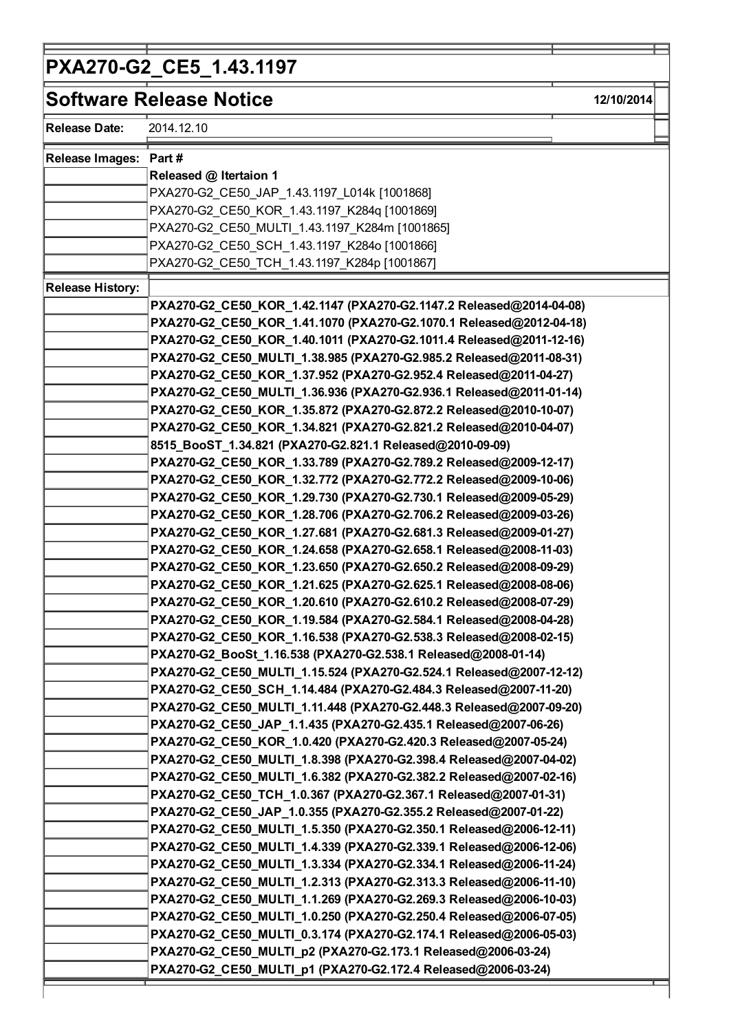## PXA270-G2\_CE5\_1.43.1197

| Software Release Notice |                                                                     | 12/10/2014 |
|-------------------------|---------------------------------------------------------------------|------------|
| <b>Release Date:</b>    | 2014.12.10                                                          |            |
| <b>Release Images:</b>  | Part#                                                               |            |
|                         | Released @ Itertaion 1                                              |            |
|                         | PXA270-G2_CE50_JAP_1.43.1197_L014k [1001868]                        |            |
|                         | PXA270-G2_CE50_KOR_1.43.1197_K284q [1001869]                        |            |
|                         | PXA270-G2_CE50_MULTI_1.43.1197_K284m [1001865]                      |            |
|                         | PXA270-G2_CE50_SCH_1.43.1197_K284o [1001866]                        |            |
|                         | PXA270-G2 CE50 TCH 1.43.1197 K284p [1001867]                        |            |
| <b>Release History:</b> |                                                                     |            |
|                         | PXA270-G2_CE50_KOR_1.42.1147 (PXA270-G2.1147.2 Released@2014-04-08) |            |
|                         | PXA270-G2_CE50_KOR_1.41.1070 (PXA270-G2.1070.1 Released@2012-04-18) |            |
|                         | PXA270-G2_CE50_KOR_1.40.1011 (PXA270-G2.1011.4 Released@2011-12-16) |            |
|                         | PXA270-G2_CE50_MULTI_1.38.985 (PXA270-G2.985.2 Released@2011-08-31) |            |
|                         | PXA270-G2_CE50_KOR_1.37.952 (PXA270-G2.952.4 Released@2011-04-27)   |            |
|                         | PXA270-G2_CE50_MULTI_1.36.936 (PXA270-G2.936.1 Released@2011-01-14) |            |
|                         | PXA270-G2_CE50_KOR_1.35.872 (PXA270-G2.872.2 Released@2010-10-07)   |            |
|                         | PXA270-G2_CE50_KOR_1.34.821 (PXA270-G2.821.2 Released@2010-04-07)   |            |
|                         | 8515_BooST_1.34.821 (PXA270-G2.821.1 Released@2010-09-09)           |            |
|                         | PXA270-G2_CE50_KOR_1.33.789 (PXA270-G2.789.2 Released@2009-12-17)   |            |
|                         | PXA270-G2_CE50_KOR_1.32.772 (PXA270-G2.772.2 Released@2009-10-06)   |            |
|                         | PXA270-G2_CE50_KOR_1.29.730 (PXA270-G2.730.1 Released@2009-05-29)   |            |
|                         | PXA270-G2_CE50_KOR_1.28.706 (PXA270-G2.706.2 Released@2009-03-26)   |            |
|                         | PXA270-G2_CE50_KOR_1.27.681 (PXA270-G2.681.3 Released@2009-01-27)   |            |
|                         | PXA270-G2_CE50_KOR_1.24.658 (PXA270-G2.658.1 Released@2008-11-03)   |            |
|                         | PXA270-G2_CE50_KOR_1.23.650 (PXA270-G2.650.2 Released@2008-09-29)   |            |
|                         | PXA270-G2_CE50_KOR_1.21.625 (PXA270-G2.625.1 Released@2008-08-06)   |            |
|                         | PXA270-G2_CE50_KOR_1.20.610 (PXA270-G2.610.2 Released@2008-07-29)   |            |
|                         | PXA270-G2_CE50_KOR_1.19.584 (PXA270-G2.584.1 Released@2008-04-28)   |            |
|                         | PXA270-G2_CE50_KOR_1.16.538 (PXA270-G2.538.3 Released@2008-02-15)   |            |
|                         | PXA270-G2_BooSt_1.16.538 (PXA270-G2.538.1 Released@2008-01-14)      |            |
|                         | PXA270-G2_CE50_MULTI_1.15.524 (PXA270-G2.524.1 Released@2007-12-12) |            |
|                         | PXA270-G2_CE50_SCH_1.14.484 (PXA270-G2.484.3 Released@2007-11-20)   |            |
|                         | PXA270-G2_CE50_MULTI_1.11.448 (PXA270-G2.448.3 Released@2007-09-20) |            |
|                         | PXA270-G2 CE50 JAP 1.1.435 (PXA270-G2.435.1 Released@2007-06-26)    |            |
|                         | PXA270-G2_CE50_KOR_1.0.420 (PXA270-G2.420.3 Released@2007-05-24)    |            |
|                         | PXA270-G2_CE50_MULTI_1.8.398 (PXA270-G2.398.4 Released@2007-04-02)  |            |
|                         | PXA270-G2_CE50_MULTI_1.6.382 (PXA270-G2.382.2 Released@2007-02-16)  |            |
|                         | PXA270-G2 CE50 TCH 1.0.367 (PXA270-G2.367.1 Released@2007-01-31)    |            |
|                         | PXA270-G2_CE50_JAP_1.0.355 (PXA270-G2.355.2 Released@2007-01-22)    |            |
|                         | PXA270-G2_CE50_MULTI_1.5.350 (PXA270-G2.350.1 Released@2006-12-11)  |            |
|                         | PXA270-G2_CE50_MULTI_1.4.339 (PXA270-G2.339.1 Released@2006-12-06)  |            |
|                         | PXA270-G2_CE50_MULTI_1.3.334 (PXA270-G2.334.1 Released@2006-11-24)  |            |
|                         | PXA270-G2_CE50_MULTI_1.2.313 (PXA270-G2.313.3 Released@2006-11-10)  |            |
|                         | PXA270-G2_CE50_MULTI_1.1.269 (PXA270-G2.269.3 Released@2006-10-03)  |            |
|                         | PXA270-G2_CE50_MULTI_1.0.250 (PXA270-G2.250.4 Released@2006-07-05)  |            |
|                         | PXA270-G2_CE50_MULTI_0.3.174 (PXA270-G2.174.1 Released@2006-05-03)  |            |
|                         | PXA270-G2_CE50_MULTI_p2 (PXA270-G2.173.1 Released@2006-03-24)       |            |
|                         | PXA270-G2_CE50_MULTI_p1 (PXA270-G2.172.4 Released@2006-03-24)       |            |